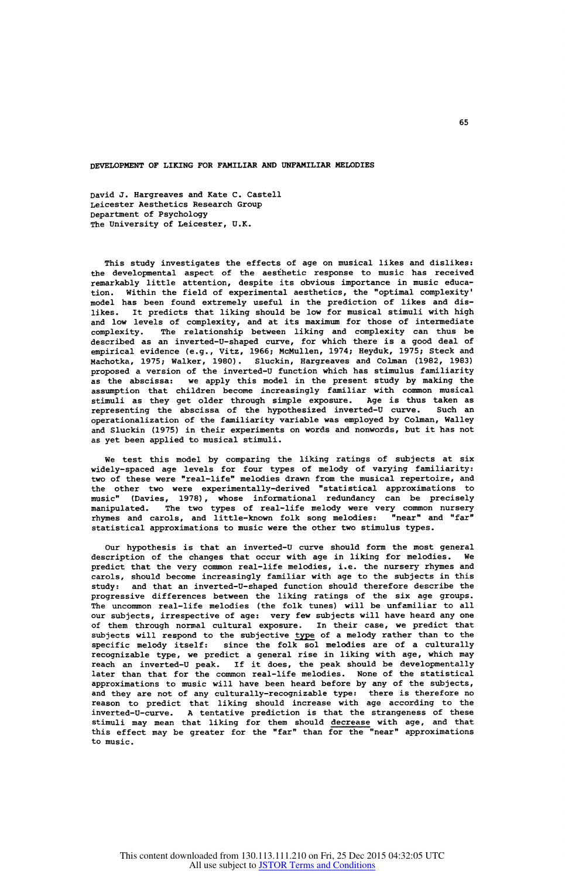DEVELOPMENT OF LIKING FOR FAMILIAR AND UNFAMILIAR MELODIES

David J. Hargreaves and Kate C. Castell Leicester Aesthetics Research Group Department of Psychology The University of Leicester, U.K.

This study investigates the effects of age on musical likes and dislikes: the developmental aspect of the aesthetic response to music has received remarkably little attention, despite its obvious importance in music education. Within the field of experimental aesthetics, the "optimal complexity' model has been found extremely useful in the prediction of likes and dislikes. It predicts that liking should be low for musical stimuli with high and low levels of complexity, and at its maximum for those of intermediate complexity. The relationship between liking and complexity can thus be described as an inverted-U-shaped curve, for which there is a good deal of empirical evidence (e.g., Vitz, 1966; McMullen, 1974; Heyduk, 1975; Steck and Machotka, 1975; Walker, 1980). Sluckin, Hargreaves and Colman (1982, 1983) proposed a version of the inverted-U function which has stimulus familiarity as the abscissa: we apply this model in the present study by making the assumption that children become increasingly familiar with common musical stimuli as they get older through simple exposure. Age is thus taken as representing the abscissa of the hypothesized inverted-U curve. Such an operationalization of the familiarity variable was employed by Colman, Walley and Sluckin (1975) in their experiments on words and nonwords, but it has not as yet been applied to musical stimuli.

We test this model by comparing the liking ratings of subjects at six widely-spaced age levels for four types of melody of varying familiarity:<br>two of these were "real-life" melodies drawn from the musical repertoire, and the other two were experimentally-derived "statistical approximations to music" (Davies, 1978), whose informational redundancy can be precisel manipulated. The two types of real-life melody were very common nursery rhymes and carols, and little-known folk song melodies: "near" and "far" statistical approximations to music were the other two stimulus types.

Our hypothesis is that an inverted-U curve should form the most general description of the changes that occur with age in liking for melodies. We predict that the very common real-life melodies, i.e. the nursery rhymes and carols, should become increasingly familiar with age to the subjects in this study: and that an inverted-U-shaped function should therefore describe the progressive differences between the liking ratings of the six age groups. The uncommon real-life melodies (the folk tunes) will be unfamiliar to all our subjects, irrespective of age: very few subjects will have heard any one of them through normal cultural exposure. In their case, we predict that subjects will respond to the subjective type of a melody rather than to the specific melody itself: since the folk sol melodies are of a culturally recognizable type, we predict a general rise in liking with age, which may reach an inverted-U peak. If it does, the peak should be developmentally<br>later than that for the common real-life melodies. None of the statistical approximations to music will have been heard before by any of the subjects, and they are not of any culturally-recognizable type: there is therefore no reason to predict that liking should increase with age according to the inverted-U-curve. A tentative prediction is that the strangeness of these stimuli may mean that liking for them should decrease with age, and that this effect may be greater for the "far" than for the "near" approximations to music.

65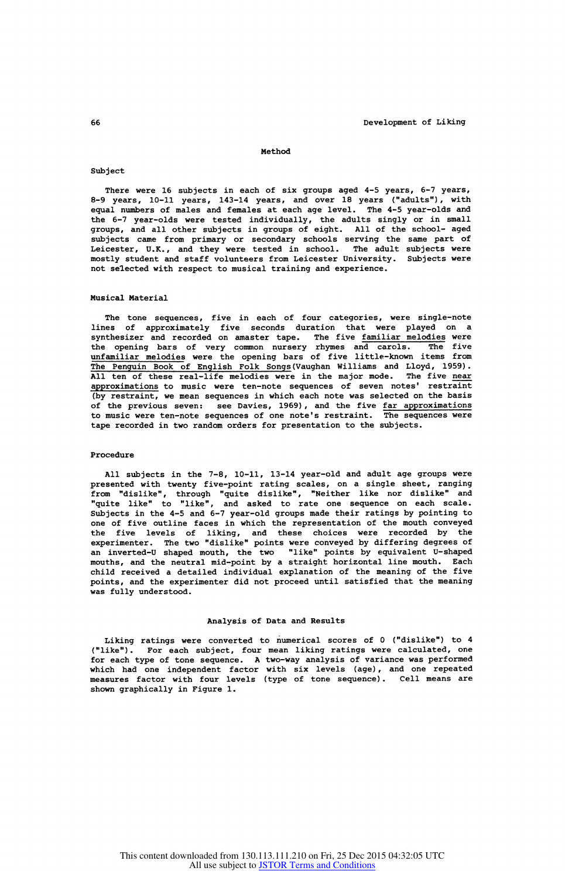#### Method

# Subject

There were 16 subjects in each of six groups aged 4-5 years, 6-7 years, 8-9 years, 10-11 years, 143-14 years, and over 18 years ("adults") , with equal numbers of males and females at each age level. The 4-5 year-olds and the 6-7 year-olds were tested individually, the adults singly or in small groups, and all other subjects in groups of eight. All of the school- aged subjects came from primary or secondary schools serving the same part of Leicester, U.K., and they were tested in school. The adult subjects were mostly student and staff volunteers from Leicester university. Subjects were not selected with respect to musical training and experience.

## Musical Material

The tone sequences, five in each of four categories, were single-note lines of approximately five seconds duration that were played on a synthesizer and recorded on amaster tape. The five familiar melodies were the opening bars of very common nursery rhymes and carols. The five unfamiliar melodies were the opening bars of five little-known items from The Penguin Book of English Folk Songs (Vaughan Williams and Lloyd, 1959) . All ten of these real-life melodies were in the major mode. The five <u>near</u><br>approximations to music were ten-note sequences of seven notes' restraint (by restraint, we mean sequences in which each note was selected on the basis of the previous seven: see Davies, 1969) , and the five far approximations to music were ten-note sequences of one note's restraint. The sequences were tape recorded in two random orders for presentation to the subjects.

### Procedure

All subjects in the 7-8, 10-11, 13-14 year-old and adult age groups were presented with twenty five-point rating scales, on a single sheet, ranging from "dislike", through "quite dislike", "Neither like nor dislike" and "quite like" to "like", and asked to rate one sequence on each scale. Subjects in the 4-5 and 6-7 year-old groups made their ratings by pointing to one of five outline faces in which the representation of the mouth conveyed the five levels of liking, and these choices were recorded by the experimenter. The two "dislike" points were conveyed by differing degrees of an inverted-U shaped mouth, the two "like" points by equivalent U-shaped mouths, and the neutral mid-point by a straight horizontal line mouth. Each child received a detailed individual explanation of the meaning of the five points, and the experimenter did not proceed until satisfied that the meaning was fully understood.

### Analysis of Data and Results

Liking ratings were converted to numerical scores of 0 ("dislike") to 4 ("like"). For each subject, four mean liking ratings were calculated, one for each type of tone sequence. A two-way analysis of variance was performed which had one independent factor with six levels (age), and one repeated measures factor with four levels (type of tone sequence) . Cell means are shown graphically in Figure 1.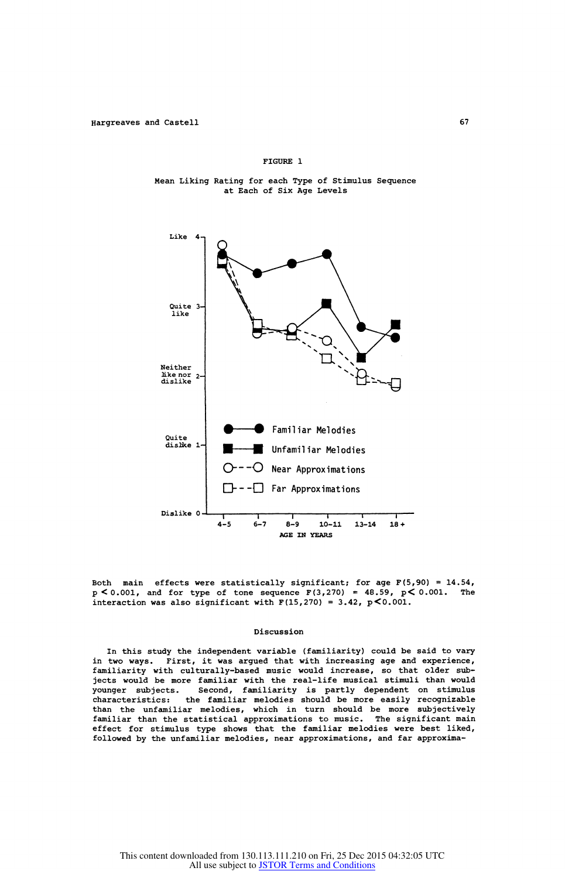### FIGURE 1

Mean Liking Rating for each Type of Stimulus Sequence at Each of Six Age Levels



Both main effects were statistically significant; for age  $F(5,90) = 14.54$ ,  $p < 0.001$ , and for type of tone sequence  $F(3,270) = 48.59$ ,  $p < 0.001$ . The interaction was also significant with  $F(15, 270) = 3.42$ ,  $p < 0.001$ .

#### Discussion

In this study the independent variable (familiarity) could be said to vary in two ways. First, it was argued that with increasing age and experience, familiarity with culturally-based music would increase, so that older subjects would be more familiar with the real-life musical stimuli than would Second, familiarity is partly dependent on stimulus characteristics: the familiar melodies should be more easily recognizabl than the unfamiliar melodies, which in turn should be more subjectively familiar than the statistical approximations to music. The significant main effect for stimulus type shows that the familiar melodies were best liked, followed by the unfamiliar melodies, near approximations, and far approxima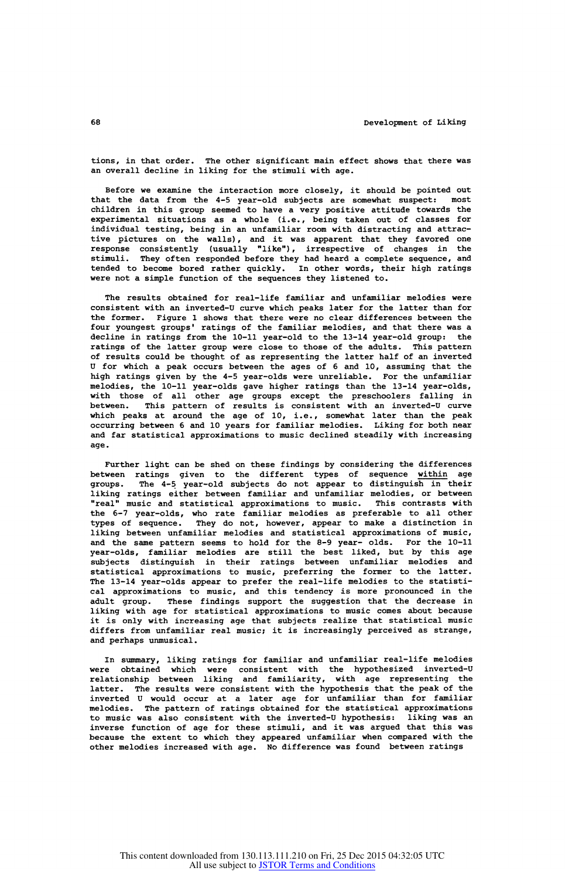tions, in that order. The other significant main effect shows that there was an overall decline in liking for the stimuli with age.

Before we examine the interaction more closely, it should be pointed out that the data from the 4-5 year-old subjects are somewhat suspect: most children in this group seemed to have a very positive attitude towards the experimental situations as a whole (i.e., being taken out of classes for individual testing, being in an unfamiliar room with distracting and attractive pictures on the walls) , and it was apparent that they favored one response consistently (usually "like") , irrespective of changes in the stimuli. They often responded before they had heard a complete sequence, and tended to become bored rather quickly. In other words, their high ratings were not a simple function of the sequences they listened to.

The results obtained for real-life familiar and unfamiliar melodies were consistent with an inverted-U curve which peaks later for the latter than for the former. Figure 1 shows that there were no clear differences between the four youngest groups' ratings of the familiar melodies, and that there was a decline in ratings from the 10-11 year-old to the 13-14 year-old group: the ratings of the latter group were close to those of the adults. This pattern of results could be thought of as representing the latter half of an inverted U for which a peak occurs between the ages of 6 and 10, assuming that the high ratings given by the 4-5 year-olds were unreliable. For the unfamiliar melodies, the 10-11 year-olds gave higher ratings than the 13-14 year-olds, with those of all other age groups except the preschoolers falling in between. This pattern of results is consistent with an inverted-U curve which peaks at around the age of 10, i.e., somewhat later than the peak occurring between 6 and 10 years for familiar melodies. Liking for both near and far statistical approximations to music declined steadily with increasing age.

Further light can be shed on these findings by considering the differences between ratings given to the different types of sequence <u>within</u> age<br>groups. The 4-5 year-old subjects do not appear to distinguish in their liking ratings either between familiar and unfamiliar melodies, or between<br>"real" music and statistical approximations to music. This contrasts with "real" music and statistical approximations to music. This contrasts with<br>the 6-7 year-olds, who rate familiar melodies as preferable to all other<br>types of sequence. They do not, however, appear to make a distinction in<br>li and the same pattern seems to hold for the 8-9 year- olds. For the 10-11 year-olds, familiar melodies are still the best liked, but by this age subjects distinguish in their ratings between unfamiliar melodies and statistical approximations to music, preferring the former to the latter. The 13-14 year-olds appear to prefer the real-life melodies to the statistical approximations to music, and this tendency is more pronounced in the adult group. These findings support the suggestion that the decrease in liking with age for statistical approximations to music comes about because it is only with increasing age that subjects realize that statistical music differs from unfamiliar real music; it is increasingly perceived as strange, and perhaps unmusical.

In summary, liking ratings for familiar and unfamiliar real-life melodies were obtained which were consistent with the hypothesized inverted-U relationship between liking and familiarity, with age representing the latter. The results were consistent with the hypothesis that the peak of the inverted U would occur at a later age for unfamiliar than for familiar melodies. The pattern of ratings obtained for the statistical approximations to music was also consistent with the inverted-U hypothesis: liking was an inverse function of age for these stimuli, and it was argued that this was because the extent to which they appeared unfamiliar when compared with the other melodies increased with age. No difference was found between ratings